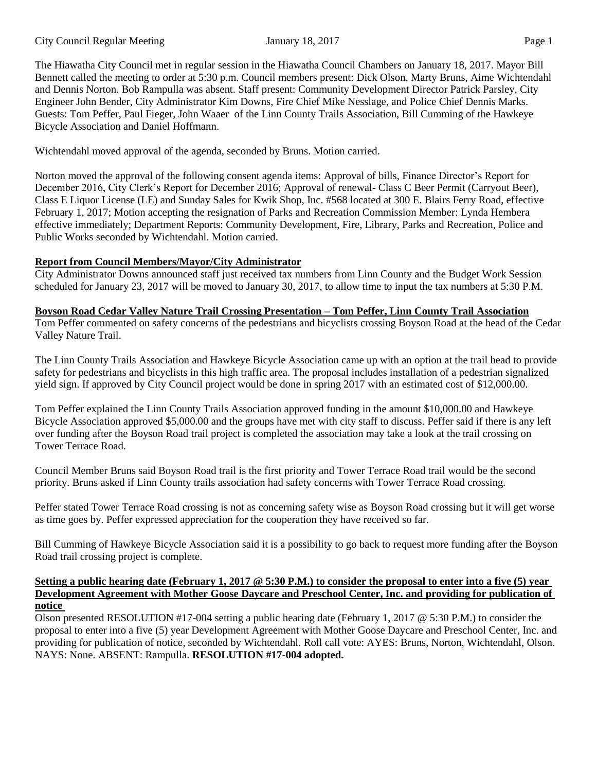The Hiawatha City Council met in regular session in the Hiawatha Council Chambers on January 18, 2017. Mayor Bill Bennett called the meeting to order at 5:30 p.m. Council members present: Dick Olson, Marty Bruns, Aime Wichtendahl and Dennis Norton. Bob Rampulla was absent. Staff present: Community Development Director Patrick Parsley, City Engineer John Bender, City Administrator Kim Downs, Fire Chief Mike Nesslage, and Police Chief Dennis Marks. Guests: Tom Peffer, Paul Fieger, John Waaer of the Linn County Trails Association, Bill Cumming of the Hawkeye Bicycle Association and Daniel Hoffmann.

Wichtendahl moved approval of the agenda, seconded by Bruns. Motion carried.

Norton moved the approval of the following consent agenda items: Approval of bills, Finance Director's Report for December 2016, City Clerk's Report for December 2016; Approval of renewal- Class C Beer Permit (Carryout Beer), Class E Liquor License (LE) and Sunday Sales for Kwik Shop, Inc. #568 located at 300 E. Blairs Ferry Road, effective February 1, 2017; Motion accepting the resignation of Parks and Recreation Commission Member: Lynda Hembera effective immediately; Department Reports: Community Development, Fire, Library, Parks and Recreation, Police and Public Works seconded by Wichtendahl. Motion carried.

# **Report from Council Members/Mayor/City Administrator**

City Administrator Downs announced staff just received tax numbers from Linn County and the Budget Work Session scheduled for January 23, 2017 will be moved to January 30, 2017, to allow time to input the tax numbers at 5:30 P.M.

### **Boyson Road Cedar Valley Nature Trail Crossing Presentation – Tom Peffer, Linn County Trail Association**

Tom Peffer commented on safety concerns of the pedestrians and bicyclists crossing Boyson Road at the head of the Cedar Valley Nature Trail.

The Linn County Trails Association and Hawkeye Bicycle Association came up with an option at the trail head to provide safety for pedestrians and bicyclists in this high traffic area. The proposal includes installation of a pedestrian signalized yield sign. If approved by City Council project would be done in spring 2017 with an estimated cost of \$12,000.00.

Tom Peffer explained the Linn County Trails Association approved funding in the amount \$10,000.00 and Hawkeye Bicycle Association approved \$5,000.00 and the groups have met with city staff to discuss. Peffer said if there is any left over funding after the Boyson Road trail project is completed the association may take a look at the trail crossing on Tower Terrace Road.

Council Member Bruns said Boyson Road trail is the first priority and Tower Terrace Road trail would be the second priority. Bruns asked if Linn County trails association had safety concerns with Tower Terrace Road crossing.

Peffer stated Tower Terrace Road crossing is not as concerning safety wise as Boyson Road crossing but it will get worse as time goes by. Peffer expressed appreciation for the cooperation they have received so far.

Bill Cumming of Hawkeye Bicycle Association said it is a possibility to go back to request more funding after the Boyson Road trail crossing project is complete.

#### **Setting a public hearing date (February 1, 2017 @ 5:30 P.M.) to consider the proposal to enter into a five (5) year Development Agreement with Mother Goose Daycare and Preschool Center, Inc. and providing for publication of notice**

Olson presented RESOLUTION #17-004 setting a public hearing date (February 1, 2017 @ 5:30 P.M.) to consider the proposal to enter into a five (5) year Development Agreement with Mother Goose Daycare and Preschool Center, Inc. and providing for publication of notice, seconded by Wichtendahl. Roll call vote: AYES: Bruns, Norton, Wichtendahl, Olson. NAYS: None. ABSENT: Rampulla. **RESOLUTION #17-004 adopted.**